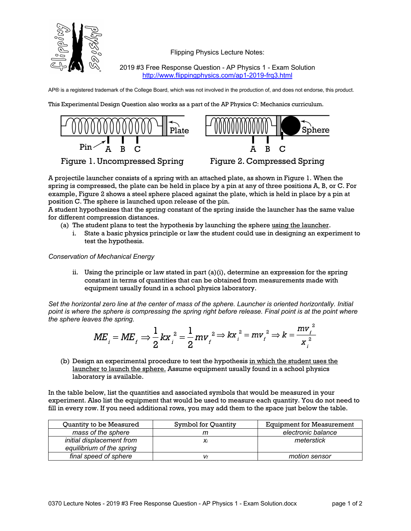

Flipping Physics Lecture Notes:

2019 #3 Free Response Question - AP Physics 1 - Exam Solution http://www.flippingphysics.com/ap1-2019-frq3.html

AP® is a registered trademark of the College Board, which was not involved in the production of, and does not endorse, this product.

This Experimental Design Question also works as a part of the AP Physics C: Mechanics curriculum.



Figure 1. Uncompressed Spring



Figure 2. Compressed Spring

A projectile launcher consists of a spring with an attached plate, as shown in Figure 1. When the spring is compressed, the plate can be held in place by a pin at any of three positions A, B, or C. For example, Figure 2 shows a steel sphere placed against the plate, which is held in place by a pin at position C. The sphere is launched upon release of the pin.

A student hypothesizes that the spring constant of the spring inside the launcher has the same value for different compression distances.

- (a) The student plans to test the hypothesis by launching the sphere using the launcher.
	- i. State a basic physics principle or law the student could use in designing an experiment to test the hypothesis.

*Conservation of Mechanical Energy*

ii. Using the principle or law stated in part (a)(i), determine an expression for the spring constant in terms of quantities that can be obtained from measurements made with equipment usually found in a school physics laboratory.

*Set the horizontal zero line at the center of mass of the sphere. Launcher is oriented horizontally. Initial point is where the sphere is compressing the spring right before release. Final point is at the point where the sphere leaves the spring.*

$$
ME_{i} = ME_{f} \Rightarrow \frac{1}{2}kx_{i}^{2} = \frac{1}{2}mv_{f}^{2} \Rightarrow kx_{i}^{2} = mv_{f}^{2} \Rightarrow k = \frac{mv_{f}^{2}}{x_{i}^{2}}
$$

(b) Design an experimental procedure to test the hypothesis in which the student uses the launcher to launch the sphere. Assume equipment usually found in a school physics laboratory is available.

In the table below, list the quantities and associated symbols that would be measured in your experiment. Also list the equipment that would be used to measure each quantity. You do not need to fill in every row. If you need additional rows, you may add them to the space just below the table.

| <b>Ouantity to be Measured</b> | Symbol for Quantity | <b>Equipment for Measurement</b> |
|--------------------------------|---------------------|----------------------------------|
| mass of the sphere             |                     | electronic balance               |
| initial displacement from      |                     | meterstick                       |
| equilibrium of the spring      |                     |                                  |
| final speed of sphere          | Vf                  | motion sensor                    |